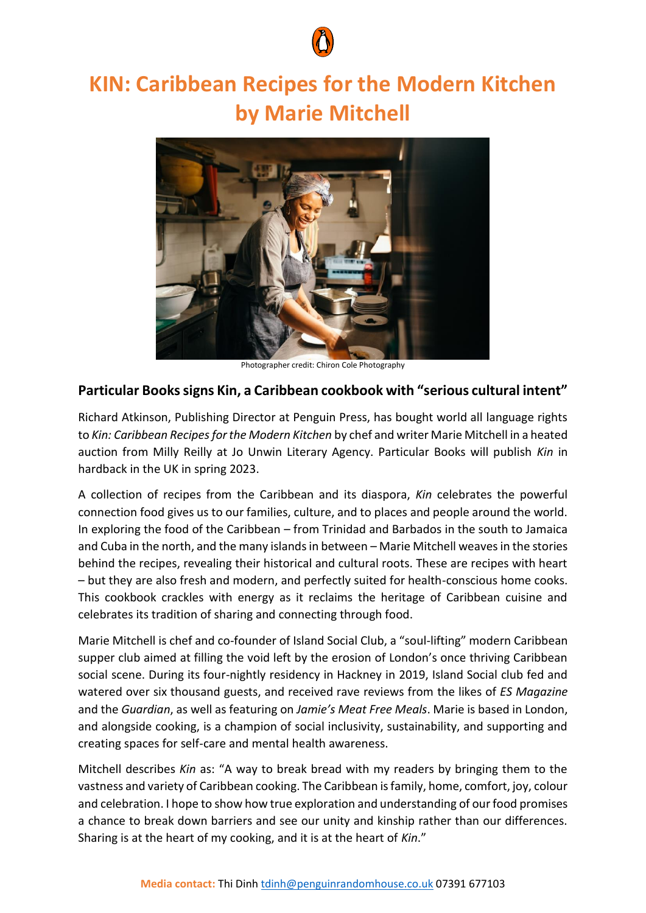

## **KIN: Caribbean Recipes for the Modern Kitchen by Marie Mitchell**



Photographer credit: Chiron Cole Photography

## **Particular Books signs Kin, a Caribbean cookbook with "serious cultural intent"**

Richard Atkinson, Publishing Director at Penguin Press, has bought world all language rights to *Kin: Caribbean Recipes for the Modern Kitchen* by chef and writer Marie Mitchell in a heated auction from Milly Reilly at Jo Unwin Literary Agency. Particular Books will publish *Kin* in hardback in the UK in spring 2023.

A collection of recipes from the Caribbean and its diaspora, *Kin* celebrates the powerful connection food gives us to our families, culture, and to places and people around the world. In exploring the food of the Caribbean – from Trinidad and Barbados in the south to Jamaica and Cuba in the north, and the many islands in between – Marie Mitchell weaves in the stories behind the recipes, revealing their historical and cultural roots. These are recipes with heart – but they are also fresh and modern, and perfectly suited for health-conscious home cooks. This cookbook crackles with energy as it reclaims the heritage of Caribbean cuisine and celebrates its tradition of sharing and connecting through food.

Marie Mitchell is chef and co-founder of Island Social Club, a "soul-lifting" modern Caribbean supper club aimed at filling the void left by the erosion of London's once thriving Caribbean social scene. During its four-nightly residency in Hackney in 2019, Island Social club fed and watered over six thousand guests, and received rave reviews from the likes of *ES Magazine* and the *Guardian*, as well as featuring on *Jamie's Meat Free Meals*. Marie is based in London, and alongside cooking, is a champion of social inclusivity, sustainability, and supporting and creating spaces for self-care and mental health awareness.

Mitchell describes *Kin* as: "A way to break bread with my readers by bringing them to the vastness and variety of Caribbean cooking. The Caribbean is family, home, comfort, joy, colour and celebration. I hope to show how true exploration and understanding of our food promises a chance to break down barriers and see our unity and kinship rather than our differences. Sharing is at the heart of my cooking, and it is at the heart of *Kin*."